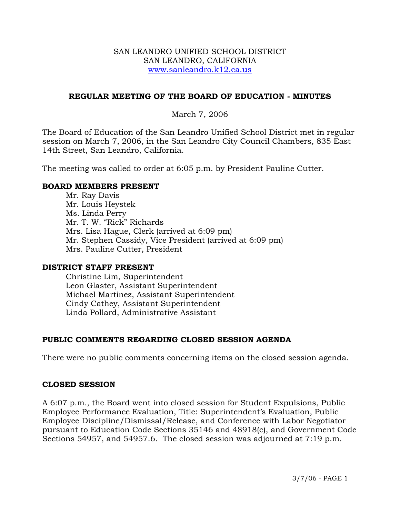### SAN LEANDRO UNIFIED SCHOOL DISTRICT SAN LEANDRO, CALIFORNIA www.sanleandro.k12.ca.us

### **REGULAR MEETING OF THE BOARD OF EDUCATION - MINUTES**

### March 7, 2006

The Board of Education of the San Leandro Unified School District met in regular session on March 7, 2006, in the San Leandro City Council Chambers, 835 East 14th Street, San Leandro, California.

The meeting was called to order at 6:05 p.m. by President Pauline Cutter.

### **BOARD MEMBERS PRESENT**

Mr. Ray Davis Mr. Louis Heystek Ms. Linda Perry Mr. T. W. "Rick" Richards Mrs. Lisa Hague, Clerk (arrived at 6:09 pm) Mr. Stephen Cassidy, Vice President (arrived at 6:09 pm) Mrs. Pauline Cutter, President

### **DISTRICT STAFF PRESENT**

Christine Lim, Superintendent Leon Glaster, Assistant Superintendent Michael Martinez, Assistant Superintendent Cindy Cathey, Assistant Superintendent Linda Pollard, Administrative Assistant

# **PUBLIC COMMENTS REGARDING CLOSED SESSION AGENDA**

There were no public comments concerning items on the closed session agenda.

### **CLOSED SESSION**

A 6:07 p.m., the Board went into closed session for Student Expulsions, Public Employee Performance Evaluation, Title: Superintendent's Evaluation, Public Employee Discipline/Dismissal/Release, and Conference with Labor Negotiator pursuant to Education Code Sections 35146 and 48918(c), and Government Code Sections 54957, and 54957.6. The closed session was adjourned at 7:19 p.m.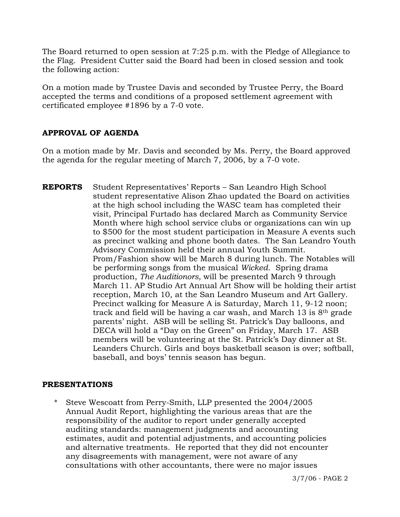The Board returned to open session at 7:25 p.m. with the Pledge of Allegiance to the Flag. President Cutter said the Board had been in closed session and took the following action:

On a motion made by Trustee Davis and seconded by Trustee Perry, the Board accepted the terms and conditions of a proposed settlement agreement with certificated employee #1896 by a 7-0 vote.

# **APPROVAL OF AGENDA**

On a motion made by Mr. Davis and seconded by Ms. Perry, the Board approved the agenda for the regular meeting of March 7, 2006, by a 7-0 vote.

**REPORTS** Student Representatives' Reports – San Leandro High School student representative Alison Zhao updated the Board on activities at the high school including the WASC team has completed their visit, Principal Furtado has declared March as Community Service Month where high school service clubs or organizations can win up to \$500 for the most student participation in Measure A events such as precinct walking and phone booth dates. The San Leandro Youth Advisory Commission held their annual Youth Summit. Prom/Fashion show will be March 8 during lunch. The Notables will be performing songs from the musical *Wicked*. Spring drama production, *The Auditionors,* will be presented March 9 through March 11. AP Studio Art Annual Art Show will be holding their artist reception, March 10, at the San Leandro Museum and Art Gallery. Precinct walking for Measure A is Saturday, March 11, 9-12 noon; track and field will be having a car wash, and March 13 is 8th grade parents' night. ASB will be selling St. Patrick's Day balloons, and DECA will hold a "Day on the Green" on Friday, March 17. ASB members will be volunteering at the St. Patrick's Day dinner at St. Leanders Church. Girls and boys basketball season is over; softball, baseball, and boys' tennis season has begun.

# **PRESENTATIONS**

Steve Wescoatt from Perry-Smith, LLP presented the 2004/2005 Annual Audit Report, highlighting the various areas that are the responsibility of the auditor to report under generally accepted auditing standards: management judgments and accounting estimates, audit and potential adjustments, and accounting policies and alternative treatments. He reported that they did not encounter any disagreements with management, were not aware of any consultations with other accountants, there were no major issues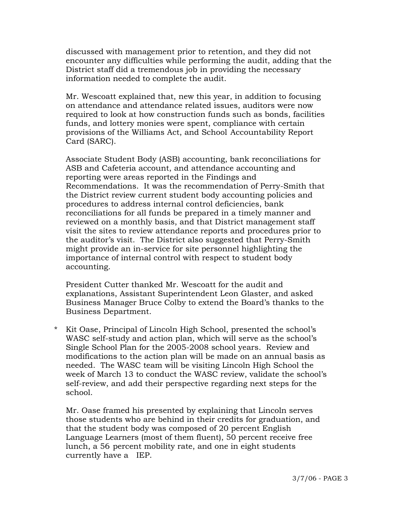discussed with management prior to retention, and they did not encounter any difficulties while performing the audit, adding that the District staff did a tremendous job in providing the necessary information needed to complete the audit.

 Mr. Wescoatt explained that, new this year, in addition to focusing on attendance and attendance related issues, auditors were now required to look at how construction funds such as bonds, facilities funds, and lottery monies were spent, compliance with certain provisions of the Williams Act, and School Accountability Report Card (SARC).

 Associate Student Body (ASB) accounting, bank reconciliations for ASB and Cafeteria account, and attendance accounting and reporting were areas reported in the Findings and Recommendations. It was the recommendation of Perry-Smith that the District review current student body accounting policies and procedures to address internal control deficiencies, bank reconciliations for all funds be prepared in a timely manner and reviewed on a monthly basis, and that District management staff visit the sites to review attendance reports and procedures prior to the auditor's visit. The District also suggested that Perry-Smith might provide an in-service for site personnel highlighting the importance of internal control with respect to student body accounting.

 President Cutter thanked Mr. Wescoatt for the audit and explanations, Assistant Superintendent Leon Glaster, and asked Business Manager Bruce Colby to extend the Board's thanks to the Business Department.

\* Kit Oase, Principal of Lincoln High School, presented the school's WASC self-study and action plan, which will serve as the school's Single School Plan for the 2005-2008 school years. Review and modifications to the action plan will be made on an annual basis as needed. The WASC team will be visiting Lincoln High School the week of March 13 to conduct the WASC review, validate the school's self-review, and add their perspective regarding next steps for the school.

 Mr. Oase framed his presented by explaining that Lincoln serves those students who are behind in their credits for graduation, and that the student body was composed of 20 percent English Language Learners (most of them fluent), 50 percent receive free lunch, a 56 percent mobility rate, and one in eight students currently have a IEP.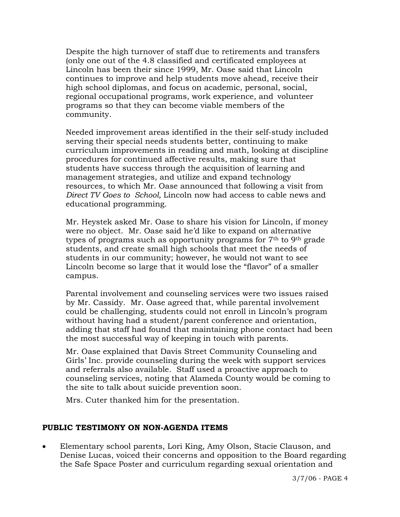Despite the high turnover of staff due to retirements and transfers (only one out of the 4.8 classified and certificated employees at Lincoln has been their since 1999, Mr. Oase said that Lincoln continues to improve and help students move ahead, receive their high school diplomas, and focus on academic, personal, social, regional occupational programs, work experience, and volunteer programs so that they can become viable members of the community.

 Needed improvement areas identified in the their self-study included serving their special needs students better, continuing to make curriculum improvements in reading and math, looking at discipline procedures for continued affective results, making sure that students have success through the acquisition of learning and management strategies, and utilize and expand technology resources, to which Mr. Oase announced that following a visit from *Direct TV Goes to School,* Lincoln now had access to cable news and educational programming.

Mr. Heystek asked Mr. Oase to share his vision for Lincoln, if money were no object. Mr. Oase said he'd like to expand on alternative types of programs such as opportunity programs for  $7<sup>th</sup>$  to  $9<sup>th</sup>$  grade students, and create small high schools that meet the needs of students in our community; however, he would not want to see Lincoln become so large that it would lose the "flavor" of a smaller campus.

Parental involvement and counseling services were two issues raised by Mr. Cassidy. Mr. Oase agreed that, while parental involvement could be challenging, students could not enroll in Lincoln's program without having had a student/parent conference and orientation, adding that staff had found that maintaining phone contact had been the most successful way of keeping in touch with parents.

Mr. Oase explained that Davis Street Community Counseling and Girls' Inc. provide counseling during the week with support services and referrals also available. Staff used a proactive approach to counseling services, noting that Alameda County would be coming to the site to talk about suicide prevention soon.

Mrs. Cuter thanked him for the presentation.

# **PUBLIC TESTIMONY ON NON-AGENDA ITEMS**

• Elementary school parents, Lori King, Amy Olson, Stacie Clauson, and Denise Lucas, voiced their concerns and opposition to the Board regarding the Safe Space Poster and curriculum regarding sexual orientation and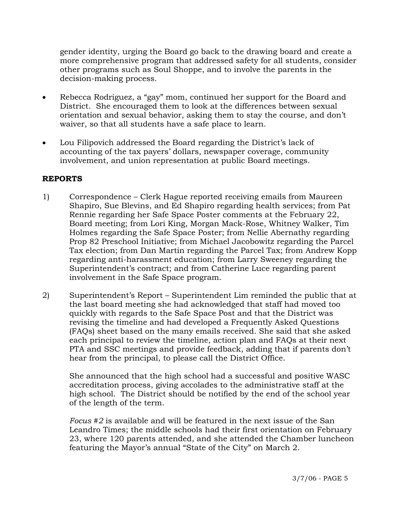gender identity, urging the Board go back to the drawing board and create a more comprehensive program that addressed safety for all students, consider other programs such as Soul Shoppe, and to involve the parents in the decision-making process.

- Rebecca Rodriguez, a "gay" mom, continued her support for the Board and District. She encouraged them to look at the differences between sexual orientation and sexual behavior, asking them to stay the course, and don't waiver, so that all students have a safe place to learn.
- Lou Filipovich addressed the Board regarding the District's lack of accounting of the tax payers' dollars, newspaper coverage, community involvement, and union representation at public Board meetings.

### **REPORTS**

- 1) Correspondence Clerk Hague reported receiving emails from Maureen Shapiro, Sue Blevins, and Ed Shapiro regarding health services; from Pat Rennie regarding her Safe Space Poster comments at the February 22, Board meeting; from Lori King, Morgan Mack-Rose, Whitney Walker, Tim Holmes regarding the Safe Space Poster; from Nellie Abernathy regarding Prop 82 Preschool Initiative; from Michael Jacobowitz regarding the Parcel Tax election; from Dan Martin regarding the Parcel Tax; from Andrew Kopp regarding anti-harassment education; from Larry Sweeney regarding the Superintendent's contract; and from Catherine Luce regarding parent involvement in the Safe Space program.
- 2) Superintendent's Report Superintendent Lim reminded the public that at the last board meeting she had acknowledged that staff had moved too quickly with regards to the Safe Space Post and that the District was revising the timeline and had developed a Frequently Asked Questions (FAQs) sheet based on the many emails received. She said that she asked each principal to review the timeline, action plan and FAQs at their next PTA and SSC meetings and provide feedback, adding that if parents don't hear from the principal, to please call the District Office.

She announced that the high school had a successful and positive WASC accreditation process, giving accolades to the administrative staff at the high school. The District should be notified by the end of the school year of the length of the term.

*Focus #2* is available and will be featured in the next issue of the San Leandro Times; the middle schools had their first orientation on February 23, where 120 parents attended, and she attended the Chamber luncheon featuring the Mayor's annual "State of the City" on March 2.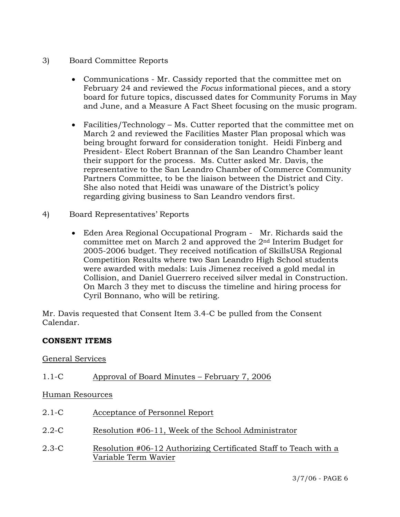- 3) Board Committee Reports
	- Communications Mr. Cassidy reported that the committee met on February 24 and reviewed the *Focus* informational pieces, and a story board for future topics, discussed dates for Community Forums in May and June, and a Measure A Fact Sheet focusing on the music program.
	- Facilities/Technology Ms. Cutter reported that the committee met on March 2 and reviewed the Facilities Master Plan proposal which was being brought forward for consideration tonight. Heidi Finberg and President- Elect Robert Brannan of the San Leandro Chamber leant their support for the process. Ms. Cutter asked Mr. Davis, the representative to the San Leandro Chamber of Commerce Community Partners Committee, to be the liaison between the District and City. She also noted that Heidi was unaware of the District's policy regarding giving business to San Leandro vendors first.
- 4) Board Representatives' Reports
	- Eden Area Regional Occupational Program Mr. Richards said the committee met on March 2 and approved the 2nd Interim Budget for 2005-2006 budget. They received notification of SkillsUSA Regional Competition Results where two San Leandro High School students were awarded with medals: Luis Jimenez received a gold medal in Collision, and Daniel Guerrero received silver medal in Construction. On March 3 they met to discuss the timeline and hiring process for Cyril Bonnano, who will be retiring.

Mr. Davis requested that Consent Item 3.4-C be pulled from the Consent Calendar.

# **CONSENT ITEMS**

# General Services

# 1.1-C Approval of Board Minutes – February 7, 2006

Human Resources

- 2.1-C Acceptance of Personnel Report
- 2.2-C Resolution #06-11, Week of the School Administrator
- 2.3-C Resolution #06-12 Authorizing Certificated Staff to Teach with a Variable Term Wavier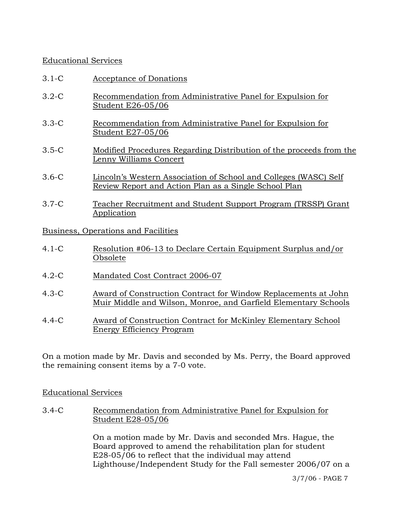# Educational Services

- 3.1-C Acceptance of Donations
- 3.2-C Recommendation from Administrative Panel for Expulsion for Student E26-05/06
- 3.3-C Recommendation from Administrative Panel for Expulsion for Student E27-05/06
- 3.5-C Modified Procedures Regarding Distribution of the proceeds from the Lenny Williams Concert
- 3.6-C Lincoln's Western Association of School and Colleges (WASC) Self Review Report and Action Plan as a Single School Plan
- 3.7-C Teacher Recruitment and Student Support Program (TRSSP) Grant Application

Business, Operations and Facilities

- 4.1-C Resolution #06-13 to Declare Certain Equipment Surplus and/or Obsolete
- 4.2-C Mandated Cost Contract 2006-07
- 4.3-C Award of Construction Contract for Window Replacements at John Muir Middle and Wilson, Monroe, and Garfield Elementary Schools
- 4.4-C Award of Construction Contract for McKinley Elementary School Energy Efficiency Program

On a motion made by Mr. Davis and seconded by Ms. Perry, the Board approved the remaining consent items by a 7-0 vote.

# Educational Services

3.4-C Recommendation from Administrative Panel for Expulsion for Student E28-05/06

> On a motion made by Mr. Davis and seconded Mrs. Hague, the Board approved to amend the rehabilitation plan for student E28-05/06 to reflect that the individual may attend Lighthouse/Independent Study for the Fall semester 2006/07 on a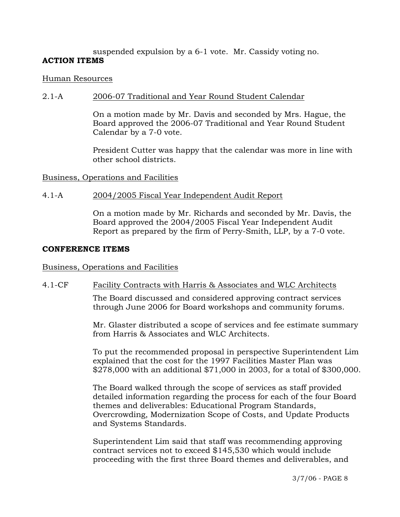# suspended expulsion by a 6-1 vote. Mr. Cassidy voting no. **ACTION ITEMS**

### Human Resources

### 2.1-A 2006-07 Traditional and Year Round Student Calendar

On a motion made by Mr. Davis and seconded by Mrs. Hague, the Board approved the 2006-07 Traditional and Year Round Student Calendar by a 7-0 vote.

President Cutter was happy that the calendar was more in line with other school districts.

### Business, Operations and Facilities

### 4.1-A 2004/2005 Fiscal Year Independent Audit Report

On a motion made by Mr. Richards and seconded by Mr. Davis, the Board approved the 2004/2005 Fiscal Year Independent Audit Report as prepared by the firm of Perry-Smith, LLP, by a 7-0 vote.

#### **CONFERENCE ITEMS**

### Business, Operations and Facilities

### 4.1-CF Facility Contracts with Harris & Associates and WLC Architects

The Board discussed and considered approving contract services through June 2006 for Board workshops and community forums.

Mr. Glaster distributed a scope of services and fee estimate summary from Harris & Associates and WLC Architects.

To put the recommended proposal in perspective Superintendent Lim explained that the cost for the 1997 Facilities Master Plan was \$278,000 with an additional \$71,000 in 2003, for a total of \$300,000.

The Board walked through the scope of services as staff provided detailed information regarding the process for each of the four Board themes and deliverables: Educational Program Standards, Overcrowding, Modernization Scope of Costs, and Update Products and Systems Standards.

Superintendent Lim said that staff was recommending approving contract services not to exceed \$145,530 which would include proceeding with the first three Board themes and deliverables, and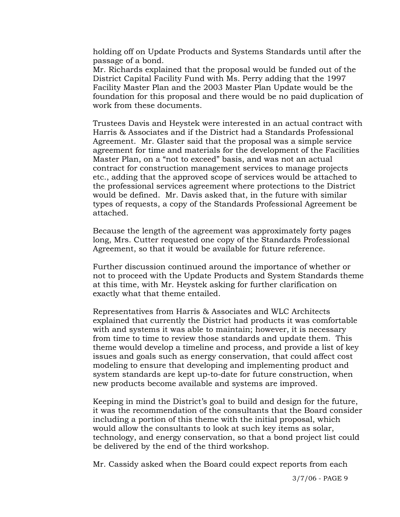holding off on Update Products and Systems Standards until after the passage of a bond.

Mr. Richards explained that the proposal would be funded out of the District Capital Facility Fund with Ms. Perry adding that the 1997 Facility Master Plan and the 2003 Master Plan Update would be the foundation for this proposal and there would be no paid duplication of work from these documents.

Trustees Davis and Heystek were interested in an actual contract with Harris & Associates and if the District had a Standards Professional Agreement. Mr. Glaster said that the proposal was a simple service agreement for time and materials for the development of the Facilities Master Plan, on a "not to exceed" basis, and was not an actual contract for construction management services to manage projects etc., adding that the approved scope of services would be attached to the professional services agreement where protections to the District would be defined. Mr. Davis asked that, in the future with similar types of requests, a copy of the Standards Professional Agreement be attached.

Because the length of the agreement was approximately forty pages long, Mrs. Cutter requested one copy of the Standards Professional Agreement, so that it would be available for future reference.

Further discussion continued around the importance of whether or not to proceed with the Update Products and System Standards theme at this time, with Mr. Heystek asking for further clarification on exactly what that theme entailed.

Representatives from Harris & Associates and WLC Architects explained that currently the District had products it was comfortable with and systems it was able to maintain; however, it is necessary from time to time to review those standards and update them. This theme would develop a timeline and process, and provide a list of key issues and goals such as energy conservation, that could affect cost modeling to ensure that developing and implementing product and system standards are kept up-to-date for future construction, when new products become available and systems are improved.

Keeping in mind the District's goal to build and design for the future, it was the recommendation of the consultants that the Board consider including a portion of this theme with the initial proposal, which would allow the consultants to look at such key items as solar, technology, and energy conservation, so that a bond project list could be delivered by the end of the third workshop.

Mr. Cassidy asked when the Board could expect reports from each

3/7/06 - PAGE 9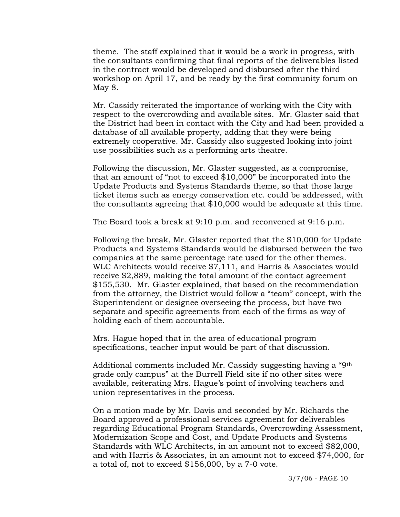theme. The staff explained that it would be a work in progress, with the consultants confirming that final reports of the deliverables listed in the contract would be developed and disbursed after the third workshop on April 17, and be ready by the first community forum on May 8.

Mr. Cassidy reiterated the importance of working with the City with respect to the overcrowding and available sites. Mr. Glaster said that the District had been in contact with the City and had been provided a database of all available property, adding that they were being extremely cooperative. Mr. Cassidy also suggested looking into joint use possibilities such as a performing arts theatre.

Following the discussion, Mr. Glaster suggested, as a compromise, that an amount of "not to exceed \$10,000" be incorporated into the Update Products and Systems Standards theme, so that those large ticket items such as energy conservation etc. could be addressed, with the consultants agreeing that \$10,000 would be adequate at this time.

The Board took a break at 9:10 p.m. and reconvened at 9:16 p.m.

Following the break, Mr. Glaster reported that the \$10,000 for Update Products and Systems Standards would be disbursed between the two companies at the same percentage rate used for the other themes. WLC Architects would receive \$7,111, and Harris & Associates would receive \$2,889, making the total amount of the contact agreement \$155,530. Mr. Glaster explained, that based on the recommendation from the attorney, the District would follow a "team" concept, with the Superintendent or designee overseeing the process, but have two separate and specific agreements from each of the firms as way of holding each of them accountable.

Mrs. Hague hoped that in the area of educational program specifications, teacher input would be part of that discussion.

Additional comments included Mr. Cassidy suggesting having a "9th grade only campus" at the Burrell Field site if no other sites were available, reiterating Mrs. Hague's point of involving teachers and union representatives in the process.

On a motion made by Mr. Davis and seconded by Mr. Richards the Board approved a professional services agreement for deliverables regarding Educational Program Standards, Overcrowding Assessment, Modernization Scope and Cost, and Update Products and Systems Standards with WLC Architects, in an amount not to exceed \$82,000, and with Harris & Associates, in an amount not to exceed \$74,000, for a total of, not to exceed \$156,000, by a 7-0 vote.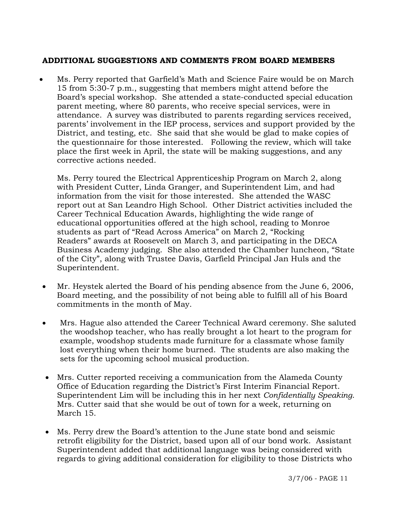# **ADDITIONAL SUGGESTIONS AND COMMENTS FROM BOARD MEMBERS**

• Ms. Perry reported that Garfield's Math and Science Faire would be on March 15 from 5:30-7 p.m., suggesting that members might attend before the Board's special workshop. She attended a state-conducted special education parent meeting, where 80 parents, who receive special services, were in attendance. A survey was distributed to parents regarding services received, parents' involvement in the IEP process, services and support provided by the District, and testing, etc. She said that she would be glad to make copies of the questionnaire for those interested. Following the review, which will take place the first week in April, the state will be making suggestions, and any corrective actions needed.

 Ms. Perry toured the Electrical Apprenticeship Program on March 2, along with President Cutter, Linda Granger, and Superintendent Lim, and had information from the visit for those interested. She attended the WASC report out at San Leandro High School. Other District activities included the Career Technical Education Awards, highlighting the wide range of educational opportunities offered at the high school, reading to Monroe students as part of "Read Across America" on March 2, "Rocking Readers" awards at Roosevelt on March 3, and participating in the DECA Business Academy judging. She also attended the Chamber luncheon, "State of the City", along with Trustee Davis, Garfield Principal Jan Huls and the Superintendent.

- Mr. Heystek alerted the Board of his pending absence from the June 6, 2006, Board meeting, and the possibility of not being able to fulfill all of his Board commitments in the month of May.
- Mrs. Hague also attended the Career Technical Award ceremony. She saluted the woodshop teacher, who has really brought a lot heart to the program for example, woodshop students made furniture for a classmate whose family lost everything when their home burned. The students are also making the sets for the upcoming school musical production.
- Mrs. Cutter reported receiving a communication from the Alameda County Office of Education regarding the District's First Interim Financial Report. Superintendent Lim will be including this in her next *Confidentially Speaking*. Mrs. Cutter said that she would be out of town for a week, returning on March 15.
- Ms. Perry drew the Board's attention to the June state bond and seismic retrofit eligibility for the District, based upon all of our bond work. Assistant Superintendent added that additional language was being considered with regards to giving additional consideration for eligibility to those Districts who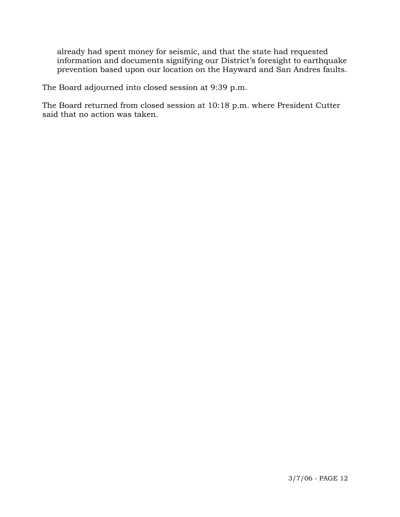already had spent money for seismic, and that the state had requested information and documents signifying our District's foresight to earthquake prevention based upon our location on the Hayward and San Andres faults.

The Board adjourned into closed session at 9:39 p.m.

The Board returned from closed session at 10:18 p.m. where President Cutter said that no action was taken.